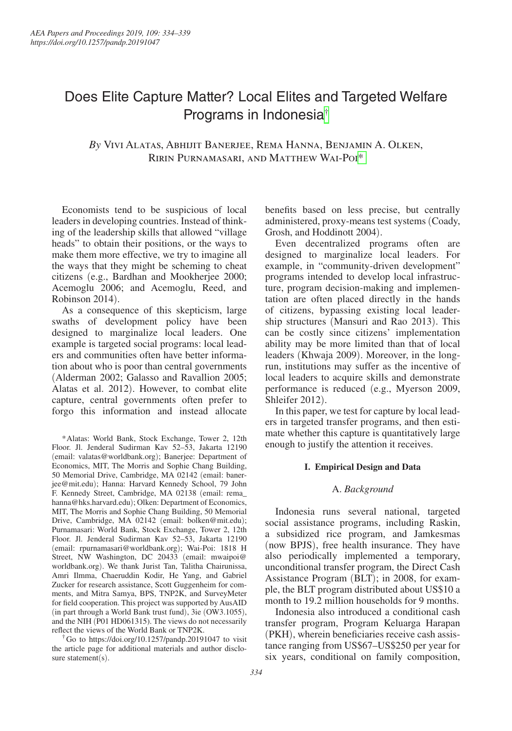# Does Elite Capture Matter? Local Elites and Targeted Welfare Programs in Indonesia[†](#page-0-0)

*By* Vivi Alatas, Abhijit Banerjee, Rema Hanna, Benjamin A. Olken, Ririn Purnamasari, and Matthew Wai-Po[i\\*](#page-0-1)

Economists tend to be suspicious of local leaders in developing countries. Instead of thinking of the leadership skills that allowed "village heads" to obtain their positions, or the ways to make them more effective, we try to imagine all the ways that they might be scheming to cheat citizens (e.g., Bardhan and Mookherjee 2000; Acemoglu 2006; and Acemoglu, Reed, and Robinson 2014).

As a consequence of this skepticism, large swaths of development policy have been designed to marginalize local leaders. One example is targeted social programs: local leaders and communities often have better information about who is poor than central governments (Alderman 2002; Galasso and Ravallion 2005; Alatas et al. 2012). However, to combat elite capture, central governments often prefer to forgo this information and instead allocate

<span id="page-0-1"></span>\*Alatas: World Bank, Stock Exchange, Tower 2, 12th Floor. Jl. Jenderal Sudirman Kav 52–53, Jakarta 12190 (email: [valatas@worldbank.org](mailto:valatas@worldbank.org)); Banerjee: Department of Economics, MIT, The Morris and Sophie Chang Building, 50 Memorial Drive, Cambridge, MA 02142 (email: [baner](mailto:banerjee@mit.edu)[jee@mit.edu](mailto:banerjee@mit.edu)); Hanna: Harvard Kennedy School, 79 John F. Kennedy Street, Cambridge, MA 02138 (email: [rema\\_](mailto:rema_hanna@hks.harvard.edu) [hanna@hks.harvard.edu](mailto:rema_hanna@hks.harvard.edu)); Olken: Department of Economics, MIT, The Morris and Sophie Chang Building, 50 Memorial Drive, Cambridge, MA 02142 (email: [bolken@mit.edu](mailto:bolken@mit.edu)); Purnamasari: World Bank, Stock Exchange, Tower 2, 12th Floor. Jl. Jenderal Sudirman Kav 52–53, Jakarta 12190 (email: [rpurnamasari@worldbank.org](mailto:rpurnamasari@worldbank.org)); Wai-Poi: 1818 H Street, NW Washington, DC 20433 (email: [mwaipoi@](mailto:mwaipoi@worldbank.org) [worldbank.org](mailto:mwaipoi@worldbank.org)). We thank Jurist Tan, Talitha Chairunissa, Amri Ilmma, Chaeruddin Kodir, He Yang, and Gabriel Zucker for research assistance, Scott Guggenheim for comments, and Mitra Samya, BPS, TNP2K, and SurveyMeter for field cooperation. This project was supported by AusAID (in part through a World Bank trust fund), 3ie (OW3.1055), and the NIH (P01 HD061315). The views do not necessarily reflect the views of the World Bank or TNP2K.

<span id="page-0-0"></span><sup>†</sup>Go to <https://doi.org/10.1257/pandp.20191047>to visit the article page for additional materials and author disclosure statement(s).

benefits based on less precise, but centrally administered, proxy-means test systems (Coady, Grosh, and Hoddinott 2004).

Even decentralized programs often are designed to marginalize local leaders. For example, in "community-driven development" programs intended to develop local infrastructure, program decision-making and implementation are often placed directly in the hands of citizens, bypassing existing local leadership structures (Mansuri and Rao 2013). This can be costly since citizens' implementation ability may be more limited than that of local leaders (Khwaja 2009). Moreover, in the longrun, institutions may suffer as the incentive of local leaders to acquire skills and demonstrate performance is reduced (e.g., Myerson 2009, Shleifer 2012).

In this paper, we test for capture by local leaders in targeted transfer programs, and then estimate whether this capture is quantitatively large enough to justify the attention it receives.

# **I. Empirical Design and Data**

# A. *Background*

Indonesia runs several national, targeted social assistance programs, including Raskin, a subsidized rice program, and Jamkesmas (now BPJS), free health insurance. They have also periodically implemented a temporary, unconditional transfer program, the Direct Cash Assistance Program (BLT); in 2008, for example, the BLT program distributed about US\$10 a month to 19.2 million households for 9 months.

Indonesia also introduced a conditional cash transfer program, Program Keluarga Harapan (PKH), wherein beneficiaries receive cash assistance ranging from US\$67–US\$250 per year for six years, conditional on family composition,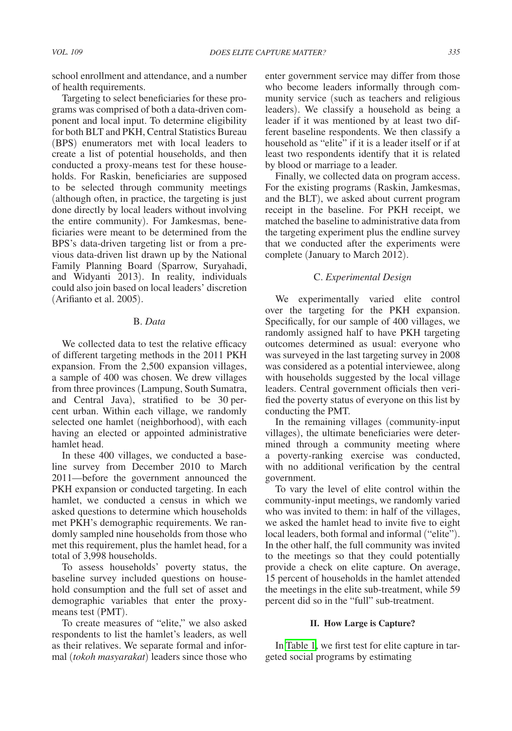school enrollment and attendance, and a number of health requirements.

Targeting to select beneficiaries for these programs was comprised of both a data-driven component and local input. To determine eligibility for both BLT and PKH, Central Statistics Bureau (BPS) enumerators met with local leaders to create a list of potential households, and then conducted a proxy-means test for these households. For Raskin, beneficiaries are supposed to be selected through community meetings (although often, in practice, the targeting is just done directly by local leaders without involving the entire community). For Jamkesmas, beneficiaries were meant to be determined from the BPS's data-driven targeting list or from a previous data-driven list drawn up by the National Family Planning Board (Sparrow, Suryahadi, and Widyanti 2013). In reality, individuals could also join based on local leaders' discretion (Arifianto et al. 2005).

# B. *Data*

We collected data to test the relative efficacy of different targeting methods in the 2011 PKH expansion. From the 2,500 expansion villages, a sample of 400 was chosen. We drew villages from three provinces (Lampung, South Sumatra, and Central Java), stratified to be 30 percent urban. Within each village, we randomly selected one hamlet (neighborhood), with each having an elected or appointed administrative hamlet head.

In these 400 villages, we conducted a baseline survey from December 2010 to March 2011—before the government announced the PKH expansion or conducted targeting. In each hamlet, we conducted a census in which we asked questions to determine which households met PKH's demographic requirements. We randomly sampled nine households from those who met this requirement, plus the hamlet head, for a total of 3,998 households.

To assess households' poverty status, the baseline survey included questions on household consumption and the full set of asset and demographic variables that enter the proxymeans test (PMT).

To create measures of "elite," we also asked respondents to list the hamlet's leaders, as well as their relatives. We separate formal and informal (*tokoh masyarakat*) leaders since those who enter government service may differ from those who become leaders informally through community service (such as teachers and religious leaders). We classify a household as being a leader if it was mentioned by at least two different baseline respondents. We then classify a household as "elite" if it is a leader itself or if at least two respondents identify that it is related by blood or marriage to a leader.

Finally, we collected data on program access. For the existing programs (Raskin, Jamkesmas, and the BLT), we asked about current program receipt in the baseline. For PKH receipt, we matched the baseline to administrative data from the targeting experiment plus the endline survey that we conducted after the experiments were complete (January to March 2012).

### C. *Experimental Design*

We experimentally varied elite control over the targeting for the PKH expansion. Specifically, for our sample of 400 villages, we randomly assigned half to have PKH targeting outcomes determined as usual: everyone who was surveyed in the last targeting survey in 2008 was considered as a potential interviewee, along with households suggested by the local village leaders. Central government officials then verified the poverty status of everyone on this list by conducting the PMT.

In the remaining villages (community-input villages), the ultimate beneficiaries were determined through a community meeting where a poverty-ranking exercise was conducted, with no additional verification by the central government.

To vary the level of elite control within the community-input meetings, we randomly varied who was invited to them: in half of the villages, we asked the hamlet head to invite five to eight local leaders, both formal and informal ("elite"). In the other half, the full community was invited to the meetings so that they could potentially provide a check on elite capture. On average, 15 percent of households in the hamlet attended the meetings in the elite sub-treatment, while 59 percent did so in the "full" sub-treatment.

#### **II. How Large is Capture?**

In [Table 1,](#page-2-0) we first test for elite capture in targeted social programs by estimating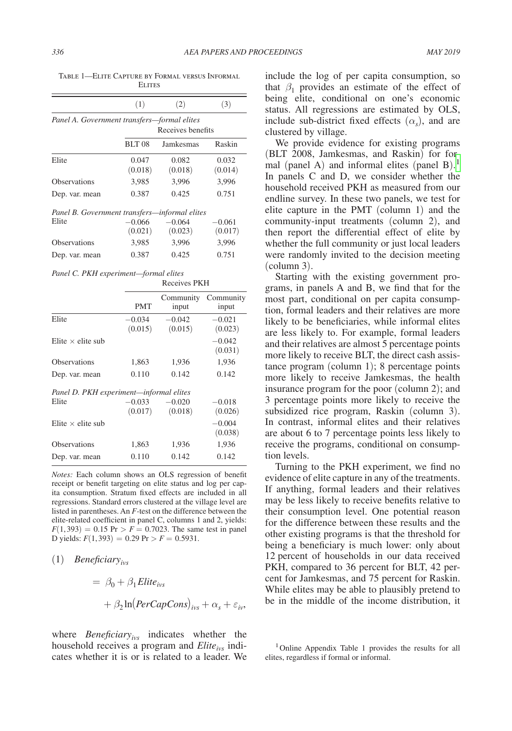|                                               | (1)               | (2)       | (3)      |  |  |  |
|-----------------------------------------------|-------------------|-----------|----------|--|--|--|
| Panel A. Government transfers-formal elites   |                   |           |          |  |  |  |
|                                               | Receives benefits |           |          |  |  |  |
|                                               | <b>BLT 08</b>     | Jamkesmas | Raskin   |  |  |  |
| Elite                                         | 0.047             | 0.082     | 0.032    |  |  |  |
|                                               | (0.018)           | (0.018)   | (0.014)  |  |  |  |
| <b>Observations</b>                           | 3,985             | 3,996     | 3,996    |  |  |  |
| Dep. var. mean                                | 0.387             | 0.425     | 0.751    |  |  |  |
| Panel B. Government transfers-informal elites |                   |           |          |  |  |  |
| Elite                                         | $-0.066$          | $-0.064$  | $-0.061$ |  |  |  |
|                                               | (0.021)           | (0.023)   | (0.017)  |  |  |  |
| <b>Observations</b>                           | 3,985             | 3,996     | 3,996    |  |  |  |
| Dep. var. mean                                | 0.387             | 0.425     | 0.751    |  |  |  |

<span id="page-2-0"></span>Table 1—Elite Capture by Formal versus Informal **ELITES** 

*Panel C. PKH experiment—formal elites*

|                                         |                     | <b>Receives PKH</b> |                     |  |  |  |
|-----------------------------------------|---------------------|---------------------|---------------------|--|--|--|
|                                         | <b>PMT</b>          | Community<br>input  | Community<br>input  |  |  |  |
| Elite                                   | $-0.034$<br>(0.015) | $-0.042$<br>(0.015) | $-0.021$<br>(0.023) |  |  |  |
| Elite $\times$ elite sub                |                     |                     | $-0.042$<br>(0.031) |  |  |  |
| <b>Observations</b>                     | 1,863               | 1,936               | 1,936               |  |  |  |
| Dep. var. mean                          | 0.110               | 0.142               | 0.142               |  |  |  |
| Panel D. PKH experiment—informal elites |                     |                     |                     |  |  |  |
| Elite                                   | $-0.033$<br>(0.017) | $-0.020$<br>(0.018) | $-0.018$<br>(0.026) |  |  |  |
| Elite $\times$ elite sub                |                     |                     | $-0.004$<br>(0.038) |  |  |  |
| <b>Observations</b>                     | 1,863               | 1,936               | 1,936               |  |  |  |
| Dep. var. mean                          | 0.110               | 0.142               | 0.142               |  |  |  |

*Notes:* Each column shows an OLS regression of benefit receipt or benefit targeting on elite status and log per capita consumption. Stratum fixed effects are included in all regressions. Standard errors clustered at the village level are listed in parentheses. An *F-*test on the difference between the elite-related coefficient in panel C, columns 1 and 2, yields:  $F(1,393) = 0.15 \text{ Pr} > F = 0.7023$ . The same test in panel D yields:  $F(1,393) = 0.29 \text{ Pr} > F = 0.5931.$ 

(1) *Beneficiency<sub>ivs</sub>*  
= 
$$
\beta_0 + \beta_1 \text{Elite}_{ivs}
$$
  
+  $\beta_2 \ln(\text{PerCapCons})_{ivs} + \alpha_s + \varepsilon_{iv}$ ,

where *Beneficiary<sub>ivs</sub>* indicates whether the household receives a program and *Elite<sub>ivs</sub>* indicates whether it is or is related to a leader. We include the log of per capita consumption, so that  $\beta_1$  provides an estimate of the effect of being elite, conditional on one's economic status. All regressions are estimated by OLS, include sub-district fixed effects  $(\alpha_s)$ , and are clustered by village.

We provide evidence for existing programs (BLT 2008, Jamkesmas, and Raskin) for for-mal (panel A) and informal elites (panel B).<sup>[1](#page-2-1)</sup> In panels C and D, we consider whether the household received PKH as measured from our endline survey. In these two panels, we test for elite capture in the PMT (column 1) and the community-input treatments (column 2), and then report the differential effect of elite by whether the full community or just local leaders were randomly invited to the decision meeting (column 3).

Starting with the existing government programs, in panels A and B, we find that for the most part, conditional on per capita consumption, formal leaders and their relatives are more likely to be beneficiaries, while informal elites are less likely to. For example, formal leaders and their relatives are almost 5 percentage points more likely to receive BLT, the direct cash assistance program (column 1); 8 percentage points more likely to receive Jamkesmas, the health insurance program for the poor (column 2); and 3 percentage points more likely to receive the subsidized rice program, Raskin (column 3). In contrast, informal elites and their relatives are about 6 to 7 percentage points less likely to receive the programs, conditional on consumption levels.

Turning to the PKH experiment, we find no evidence of elite capture in any of the treatments. If anything, formal leaders and their relatives may be less likely to receive benefits relative to their consumption level. One potential reason for the difference between these results and the other existing programs is that the threshold for being a beneficiary is much lower: only about 12 percent of households in our data received PKH, compared to 36 percent for BLT, 42 percent for Jamkesmas, and 75 percent for Raskin. While elites may be able to plausibly pretend to be in the middle of the income distribution, it

<span id="page-2-1"></span><sup>1</sup>Online Appendix Table 1 provides the results for all elites, regardless if formal or informal.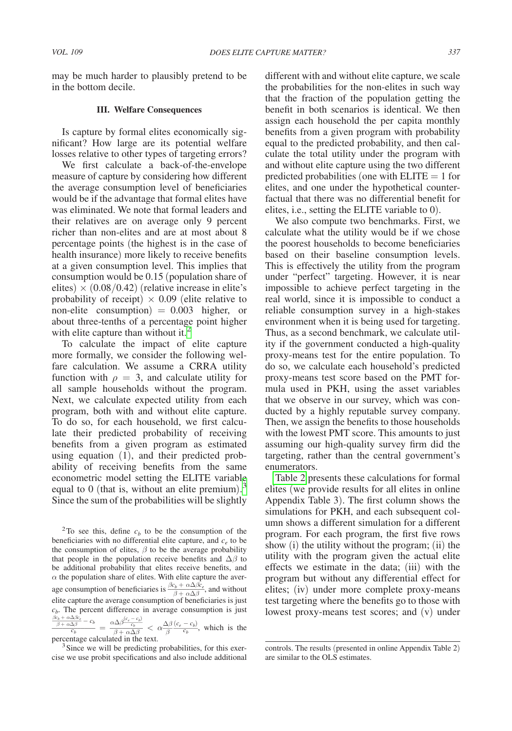may be much harder to plausibly pretend to be in the bottom decile.

#### **III. Welfare Consequences**

Is capture by formal elites economically significant? How large are its potential welfare losses relative to other types of targeting errors?

We first calculate a back-of-the-envelope measure of capture by considering how different the average consumption level of beneficiaries would be if the advantage that formal elites have was eliminated. We note that formal leaders and their relatives are on average only 9 percent richer than non-elites and are at most about 8 percentage points (the highest is in the case of health insurance) more likely to receive benefits at a given consumption level. This implies that consumption would be 0.15 (population share of elites)  $\times$  (0.08/0.42) (relative increase in elite's probability of receipt)  $\times$  0.09 (elite relative to non-elite consumption)  $= 0.003$  higher, or about three-tenths of a percentage point higher with elite capture than without it.<sup>[2](#page-3-0)</sup>

To calculate the impact of elite capture more formally, we consider the following welfare calculation. We assume a CRRA utility function with  $\rho = 3$ , and calculate utility for all sample households without the program. Next, we calculate expected utility from each program, both with and without elite capture. To do so, for each household, we first calculate their predicted probability of receiving benefits from a given program as estimated using equation (1), and their predicted probability of receiving benefits from the same econometric model setting the ELITE variable equal to  $0$  (that is, without an elite premium).<sup>[3](#page-3-1)</sup> Since the sum of the probabilities will be slightly

percentage calculated in the text.<br><sup>3</sup>Since we will be predicting probabilities, for this exer-

<span id="page-3-1"></span>cise we use probit specifications and also include additional

different with and without elite capture, we scale the probabilities for the non-elites in such way that the fraction of the population getting the benefit in both scenarios is identical. We then assign each household the per capita monthly benefits from a given program with probability equal to the predicted probability, and then calculate the total utility under the program with and without elite capture using the two different predicted probabilities (one with  $ELITE = 1$  for elites, and one under the hypothetical counterfactual that there was no differential benefit for elites, i.e., setting the ELITE variable to 0).

We also compute two benchmarks. First, we calculate what the utility would be if we chose the poorest households to become beneficiaries based on their baseline consumption levels. This is effectively the utility from the program under "perfect" targeting. However, it is near impossible to achieve perfect targeting in the real world, since it is impossible to conduct a reliable consumption survey in a high-stakes environment when it is being used for targeting. Thus, as a second benchmark, we calculate utility if the government conducted a high-quality proxy-means test for the entire population. To do so, we calculate each household's predicted proxy-means test score based on the PMT formula used in PKH, using the asset variables that we observe in our survey, which was conducted by a highly reputable survey company. Then, we assign the benefits to those households with the lowest PMT score. This amounts to just assuming our high-quality survey firm did the targeting, rather than the central government's enumerators.

[Table 2](#page-4-0) presents these calculations for formal elites (we provide results for all elites in online Appendix Table 3). The first column shows the simulations for PKH, and each subsequent column shows a different simulation for a different program. For each program, the first five rows show (i) the utility without the program; (ii) the utility with the program given the actual elite effects we estimate in the data; (iii) with the program but without any differential effect for elites; (iv) under more complete proxy-means test targeting where the benefits go to those with lowest proxy-means test scores; and (v) under

<span id="page-3-0"></span> $2^2$ To see this, define  $c_b$  to be the consumption of the beneficiaries with no differential elite capture, and  $c_e$  to be the consumption of elites,  $\beta$  to be the average probability that people in the population receive benefits and  $\Delta\beta$  to be additional probability that elites receive benefits, and  $\alpha$  the population share of elites. With elite capture the average consumption of beneficiaries is  $\frac{\beta c_b + \alpha \Delta \beta c_e}{\beta + \alpha \Delta \beta}$ , and without elite capture the average consumption of beneficiaries is just *cb*. The percent difference in average consumption is just  $c_b$ . The percent difference in average consumption is just<br>  $\frac{\beta c_b + \alpha \Delta \beta_c - c_b}{\beta + \alpha \Delta \beta} = \frac{\alpha \Delta \beta \frac{(c_c - c_b)}{c_b}}{\beta + \alpha \Delta \beta} < \alpha \frac{\Delta \beta (c_e - c_b)}{\beta - c_b}$ , which is the

controls. The results (presented in online Appendix Table 2) are similar to the OLS estimates.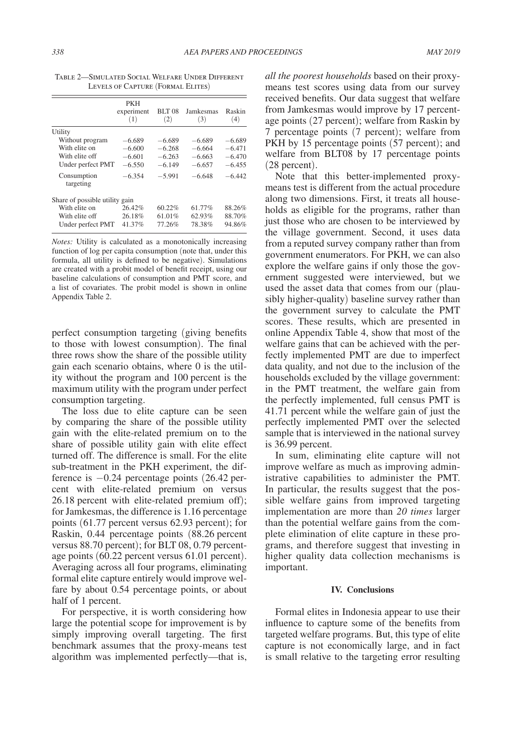|                                | <b>PKH</b><br>experiment<br>(1) | <b>BLT 08</b><br>(2) | Jamkesmas<br>(3) | Raskin<br>(4) |  |  |
|--------------------------------|---------------------------------|----------------------|------------------|---------------|--|--|
| Utility                        |                                 |                      |                  |               |  |  |
| Without program                | $-6.689$                        | $-6.689$             | $-6.689$         | $-6.689$      |  |  |
| With elite on                  | $-6.600$                        | $-6.268$             | $-6.664$         | $-6.471$      |  |  |
| With elite off                 | $-6.601$                        | $-6.263$             | $-6.663$         | $-6.470$      |  |  |
| Under perfect PMT              | $-6.550$                        | $-6.149$             | $-6.657$         | $-6.455$      |  |  |
| Consumption<br>targeting       | $-6.354$                        | $-5.991$             | $-6.648$         | $-6.442$      |  |  |
| Share of possible utility gain |                                 |                      |                  |               |  |  |
| With elite on                  | 26.42%                          | 60.22%               | 61.77%           | 88.26%        |  |  |
| With elite off                 | 26.18%                          | 61.01%               | 62.93%           | 88.70%        |  |  |
| Under perfect PMT              | 41.37%                          | 77.26%               | 78.38%           | 94.86%        |  |  |

<span id="page-4-0"></span>Table 2—Simulated Social Welfare Under Different Levels of Capture (Formal Elites)

*Notes:* Utility is calculated as a monotonically increasing function of log per capita consumption (note that, under this formula, all utility is defined to be negative). Simulations are created with a probit model of benefit receipt, using our baseline calculations of consumption and PMT score, and a list of covariates. The probit model is shown in online Appendix Table 2.

perfect consumption targeting (giving benefits to those with lowest consumption). The final three rows show the share of the possible utility gain each scenario obtains, where 0 is the utility without the program and 100 percent is the maximum utility with the program under perfect consumption targeting.

The loss due to elite capture can be seen by comparing the share of the possible utility gain with the elite-related premium on to the share of possible utility gain with elite effect turned off. The difference is small. For the elite sub-treatment in the PKH experiment, the difference is −0.24 percentage points (26.42 percent with elite-related premium on versus 26.18 percent with elite-related premium off); for Jamkesmas, the difference is 1.16 percentage points (61.77 percent versus 62.93 percent); for Raskin, 0.44 percentage points (88.26 percent versus 88.70 percent); for BLT 08, 0.79 percentage points (60.22 percent versus 61.01 percent). Averaging across all four programs, eliminating formal elite capture entirely would improve welfare by about 0.54 percentage points, or about half of 1 percent.

For perspective, it is worth considering how large the potential scope for improvement is by simply improving overall targeting. The first benchmark assumes that the proxy-means test algorithm was implemented perfectly—that is, *all the poorest households* based on their proxymeans test scores using data from our survey received benefits. Our data suggest that welfare from Jamkesmas would improve by 17 percentage points (27 percent); welfare from Raskin by 7 percentage points (7 percent); welfare from PKH by 15 percentage points (57 percent); and welfare from BLT08 by 17 percentage points (28 percent).

Note that this better-implemented proxymeans test is different from the actual procedure along two dimensions. First, it treats all households as eligible for the programs, rather than just those who are chosen to be interviewed by the village government. Second, it uses data from a reputed survey company rather than from government enumerators. For PKH, we can also explore the welfare gains if only those the government suggested were interviewed, but we used the asset data that comes from our (plausibly higher-quality) baseline survey rather than the government survey to calculate the PMT scores. These results, which are presented in online Appendix Table 4, show that most of the welfare gains that can be achieved with the perfectly implemented PMT are due to imperfect data quality, and not due to the inclusion of the households excluded by the village government: in the PMT treatment, the welfare gain from the perfectly implemented, full census PMT is 41.71 percent while the welfare gain of just the perfectly implemented PMT over the selected sample that is interviewed in the national survey is 36.99 percent.

In sum, eliminating elite capture will not improve welfare as much as improving administrative capabilities to administer the PMT. In particular, the results suggest that the possible welfare gains from improved targeting implementation are more than *20 times* larger than the potential welfare gains from the complete elimination of elite capture in these programs, and therefore suggest that investing in higher quality data collection mechanisms is important.

#### **IV. Conclusions**

Formal elites in Indonesia appear to use their influence to capture some of the benefits from targeted welfare programs. But, this type of elite capture is not economically large, and in fact is small relative to the targeting error resulting